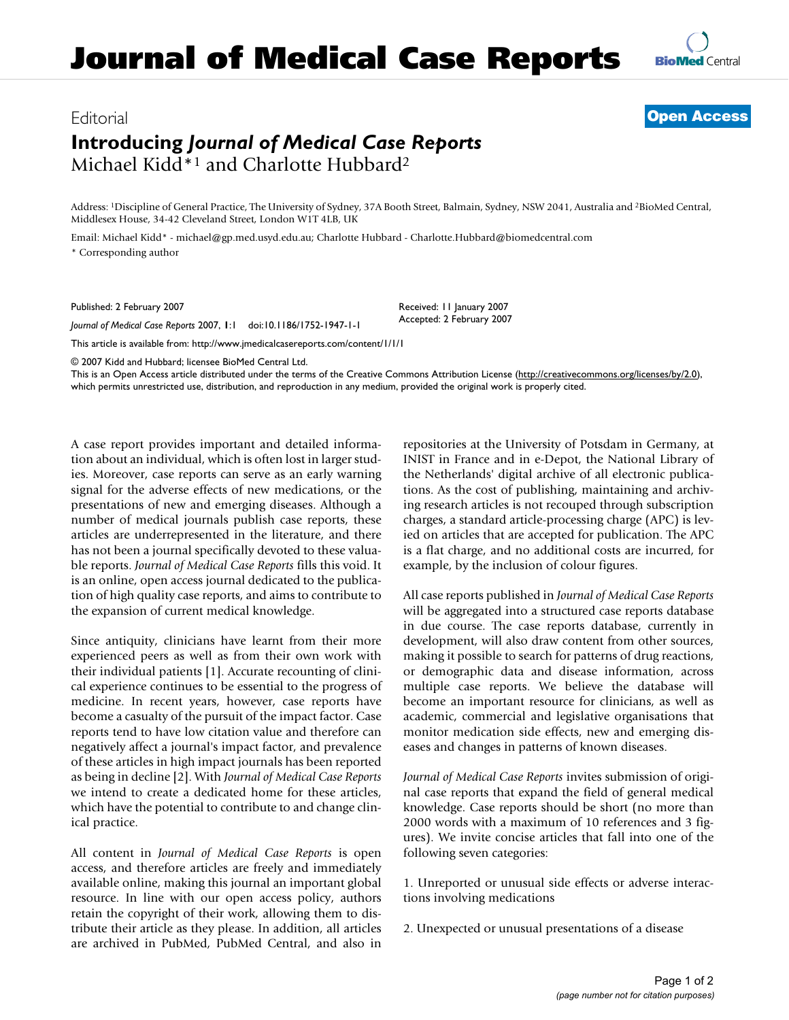## Editorial **[Open Access](http://www.biomedcentral.com/info/about/charter/) Introducing** *Journal of Medical Case Reports* Michael Kidd\*1 and Charlotte Hubbard2

Address: 1Discipline of General Practice, The University of Sydney, 37A Booth Street, Balmain, Sydney, NSW 2041, Australia and 2BioMed Central, Middlesex House, 34-42 Cleveland Street, London W1T 4LB, UK

> Received: 11 January 2007 Accepted: 2 February 2007

Email: Michael Kidd\* - michael@gp.med.usyd.edu.au; Charlotte Hubbard - Charlotte.Hubbard@biomedcentral.com \* Corresponding author

Published: 2 February 2007

*Journal of Medical Case Reports* 2007, **1**:1 doi:10.1186/1752-1947-1-1

[This article is available from: http://www.jmedicalcasereports.com/content/1/1/1](http://www.jmedicalcasereports.com/content/1/1/1)

© 2007 Kidd and Hubbard; licensee BioMed Central Ltd.

This is an Open Access article distributed under the terms of the Creative Commons Attribution License [\(http://creativecommons.org/licenses/by/2.0\)](http://creativecommons.org/licenses/by/2.0), which permits unrestricted use, distribution, and reproduction in any medium, provided the original work is properly cited.

A case report provides important and detailed information about an individual, which is often lost in larger studies. Moreover, case reports can serve as an early warning signal for the adverse effects of new medications, or the presentations of new and emerging diseases. Although a number of medical journals publish case reports, these articles are underrepresented in the literature, and there has not been a journal specifically devoted to these valuable reports. *Journal of Medical Case Reports* fills this void. It is an online, open access journal dedicated to the publication of high quality case reports, and aims to contribute to the expansion of current medical knowledge.

Since antiquity, clinicians have learnt from their more experienced peers as well as from their own work with their individual patients [1]. Accurate recounting of clinical experience continues to be essential to the progress of medicine. In recent years, however, case reports have become a casualty of the pursuit of the impact factor. Case reports tend to have low citation value and therefore can negatively affect a journal's impact factor, and prevalence of these articles in high impact journals has been reported as being in decline [2]. With *Journal of Medical Case Reports* we intend to create a dedicated home for these articles, which have the potential to contribute to and change clinical practice.

All content in *Journal of Medical Case Reports* is open access, and therefore articles are freely and immediately available online, making this journal an important global resource. In line with our open access policy, authors retain the copyright of their work, allowing them to distribute their article as they please. In addition, all articles are archived in PubMed, PubMed Central, and also in repositories at the University of Potsdam in Germany, at INIST in France and in e-Depot, the National Library of the Netherlands' digital archive of all electronic publications. As the cost of publishing, maintaining and archiving research articles is not recouped through subscription charges, a standard article-processing charge (APC) is levied on articles that are accepted for publication. The APC is a flat charge, and no additional costs are incurred, for example, by the inclusion of colour figures.

All case reports published in *Journal of Medical Case Reports* will be aggregated into a structured case reports database in due course. The case reports database, currently in development, will also draw content from other sources, making it possible to search for patterns of drug reactions, or demographic data and disease information, across multiple case reports. We believe the database will become an important resource for clinicians, as well as academic, commercial and legislative organisations that monitor medication side effects, new and emerging diseases and changes in patterns of known diseases.

*Journal of Medical Case Reports* invites submission of original case reports that expand the field of general medical knowledge. Case reports should be short (no more than 2000 words with a maximum of 10 references and 3 figures). We invite concise articles that fall into one of the following seven categories:

1. Unreported or unusual side effects or adverse interactions involving medications

2. Unexpected or unusual presentations of a disease